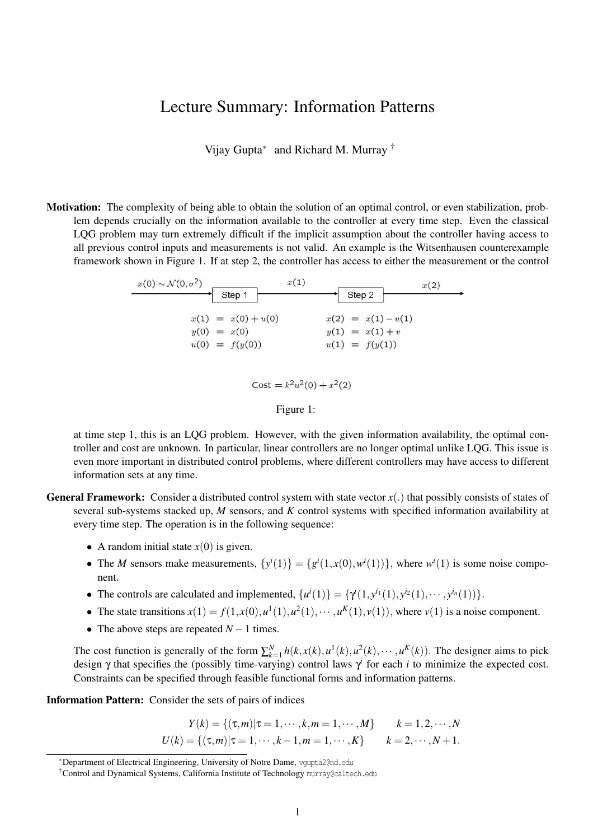## Lecture Summary: Information Patterns

Vijay Gupta<sup>∗</sup> and Richard M. Murray †

Motivation: The complexity of being able to obtain the solution of an optimal control, or even stabilization, problem depends crucially on the information available to the controller at every time step. Even the classical LQG problem may turn extremely difficult if the implicit assumption about the controller having access to all previous control inputs and measurements is not valid. An example is the Witsenhausen counterexample framework shown in Figure 1. If at step 2, the controller has access to either the measurement or the control

| $x(1) = x(0) + u(0)$ | $x(2) = x(1) - u(1)$ |
|----------------------|----------------------|
| $y(0) = x(0)$        | $y(1) = x(1) + v$    |
| $u(0) = f(y(0))$     | $u(1) = f(y(1))$     |



at time step 1, this is an LQG problem. However, with the given information availability, the optimal controller and cost are unknown. In particular, linear controllers are no longer optimal unlike LQG. This issue is even more important in distributed control problems, where different controllers may have access to different information sets at any time.

- **General Framework:** Consider a distributed control system with state vector  $x(.)$  that possibly consists of states of several sub-systems stacked up, *M* sensors, and *K* control systems with specified information availability at every time step. The operation is in the following sequence:
	- A random initial state  $x(0)$  is given.
	- The *M* sensors make measurements,  $\{y^i(1)\} = \{g^i(1, x(0), w^i(1))\}$ , where  $w^i(1)$  is some noise component.
	- The controls are calculated and implemented,  $\{u^i(1)\} = \{\gamma^i(1, y^{i_1}(1), y^{i_2}(1), \cdots, y^{i_n}(1))\}.$
	- The state transitions  $x(1) = f(1, x(0), u^1(1), u^2(1), \dots, u^K(1), v(1))$ , where  $v(1)$  is a noise component.
	- The above steps are repeated  $N-1$  times.

The cost function is generally of the form  $\sum_{k=1}^{N} h(k, x(k), u^1(k), u^2(k), \cdots, u^K(k))$ . The designer aims to pick design  $\gamma$  that specifies the (possibly time-varying) control laws  $\gamma^i$  for each *i* to minimize the expected cost. Constraints can be specified through feasible functional forms and information patterns.

Information Pattern: Consider the sets of pairs of indices

$$
Y(k) = \{ (\tau, m) | \tau = 1, \cdots, k, m = 1, \cdots, M \} \qquad k = 1, 2, \cdots, N
$$
  

$$
U(k) = \{ (\tau, m) | \tau = 1, \cdots, k - 1, m = 1, \cdots, K \} \qquad k = 2, \cdots, N + 1.
$$

<sup>∗</sup>Department of Electrical Engineering, University of Notre Dame, vgupta2@nd.edu

<sup>†</sup>Control and Dynamical Systems, California Institute of Technology murray@caltech.edu